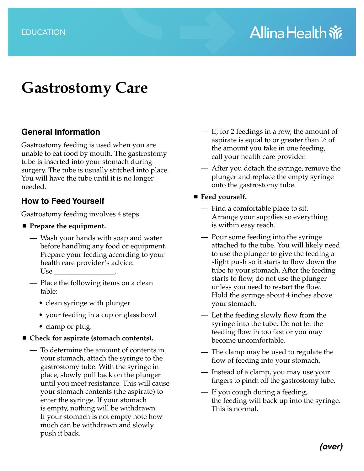# **Gastrostomy Care**

#### **General Information**

Gastrostomy feeding is used when you are unable to eat food by mouth. The gastrostomy tube is inserted into your stomach during surgery. The tube is usually stitched into place. You will have the tube until it is no longer needed.

#### **How to Feed Yourself**

Gastrostomy feeding involves 4 steps.

- **Prepare the equipment.** 
	- Wash your hands with soap and water before handling any food or equipment. Prepare your feeding according to your health care provider's advice. Use
	- Place the following items on a clean table:
		- clean syringe with plunger
		- your feeding in a cup or glass bowl
		- clamp or plug.
- Check for aspirate (stomach contents).
	- To determine the amount of contents in your stomach, attach the syringe to the gastrostomy tube. With the syringe in place, slowly pull back on the plunger until you meet resistance. This will cause your stomach contents (the aspirate) to enter the syringe. If your stomach is empty, nothing will be withdrawn. If your stomach is not empty note how much can be withdrawn and slowly push it back.
- If, for 2 feedings in a row, the amount of aspirate is equal to or greater than  $\frac{1}{2}$  of the amount you take in one feeding, call your health care provider.
- After you detach the syringe, remove the plunger and replace the empty syringe onto the gastrostomy tube.
- Feed yourself.
	- Find a comfortable place to sit. Arrange your supplies so everything is within easy reach.
	- Pour some feeding into the syringe attached to the tube. You will likely need to use the plunger to give the feeding a slight push so it starts to flow down the tube to your stomach. After the feeding starts to flow, do not use the plunger unless you need to restart the flow. Hold the syringe about 4 inches above your stomach.
	- Let the feeding slowly flow from the syringe into the tube. Do not let the feeding flow in too fast or you may become uncomfortable.
	- The clamp may be used to regulate the flow of feeding into your stomach.
	- Instead of a clamp, you may use your fingers to pinch off the gastrostomy tube.
	- If you cough during a feeding, the feeding will back up into the syringe. This is normal.